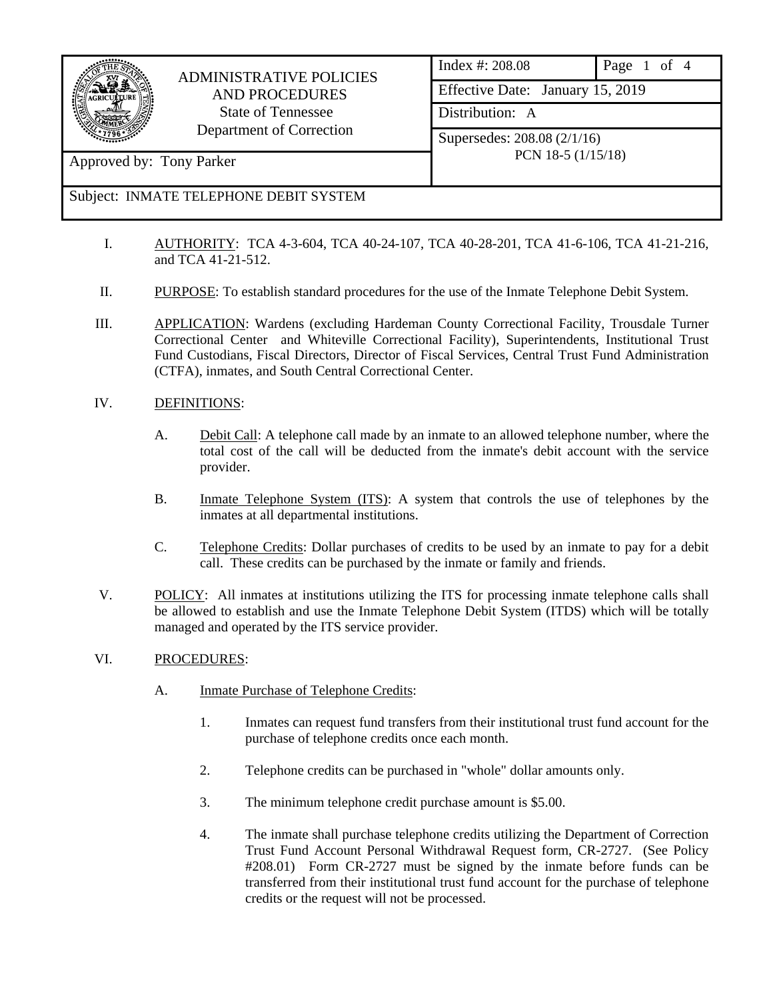

Approved by: Tony Parker

## ADMINISTRATIVE POLICIES AND PROCEDURES State of Tennessee Department of Correction

| Index #: 208.08                  | Page 1 of 4 |
|----------------------------------|-------------|
| Effective Date: January 15, 2019 |             |
| Distribution: A                  |             |
| Supersedes: 208.08 (2/1/16)      |             |
| PCN 18-5 (1/15/18)               |             |
|                                  |             |

## Subject: INMATE TELEPHONE DEBIT SYSTEM

- I. AUTHORITY: TCA 4-3-604, TCA 40-24-107, TCA 40-28-201, TCA 41-6-106, TCA 41-21-216, and TCA 41-21-512.
- II. PURPOSE: To establish standard procedures for the use of the Inmate Telephone Debit System.
- III. APPLICATION: Wardens (excluding Hardeman County Correctional Facility, Trousdale Turner Correctional Center and Whiteville Correctional Facility), Superintendents, Institutional Trust Fund Custodians, Fiscal Directors, Director of Fiscal Services, Central Trust Fund Administration (CTFA), inmates, and South Central Correctional Center.
- IV. DEFINITIONS:
	- A. Debit Call: A telephone call made by an inmate to an allowed telephone number, where the total cost of the call will be deducted from the inmate's debit account with the service provider.
	- B. Inmate Telephone System (ITS): A system that controls the use of telephones by the inmates at all departmental institutions.
	- C. Telephone Credits: Dollar purchases of credits to be used by an inmate to pay for a debit call. These credits can be purchased by the inmate or family and friends.
- V. POLICY: All inmates at institutions utilizing the ITS for processing inmate telephone calls shall be allowed to establish and use the Inmate Telephone Debit System (ITDS) which will be totally managed and operated by the ITS service provider.

## VI. PROCEDURES:

- A. **Inmate Purchase of Telephone Credits:** 
	- 1. Inmates can request fund transfers from their institutional trust fund account for the purchase of telephone credits once each month.
	- 2. Telephone credits can be purchased in "whole" dollar amounts only.
	- 3. The minimum telephone credit purchase amount is \$5.00.
	- 4. The inmate shall purchase telephone credits utilizing the Department of Correction Trust Fund Account Personal Withdrawal Request form, CR-2727. (See Policy #208.01) Form CR-2727 must be signed by the inmate before funds can be transferred from their institutional trust fund account for the purchase of telephone credits or the request will not be processed.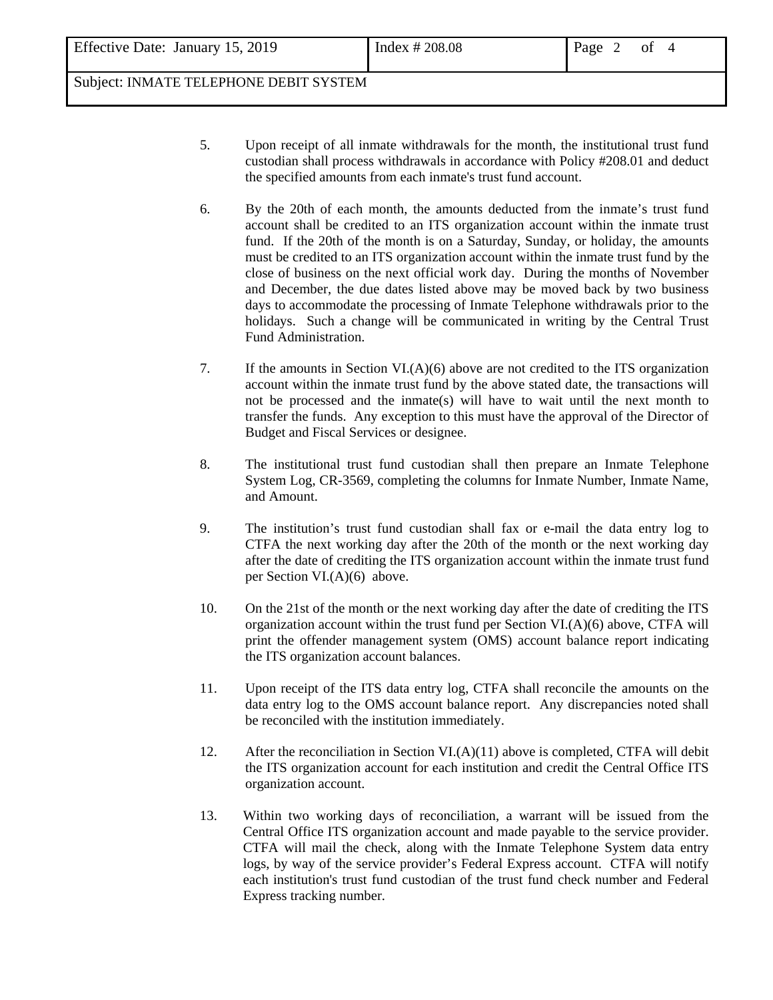Subject: INMATE TELEPHONE DEBIT SYSTEM

- 5. Upon receipt of all inmate withdrawals for the month, the institutional trust fund custodian shall process withdrawals in accordance with Policy #208.01 and deduct the specified amounts from each inmate's trust fund account.
- 6. By the 20th of each month, the amounts deducted from the inmate's trust fund account shall be credited to an ITS organization account within the inmate trust fund. If the 20th of the month is on a Saturday, Sunday, or holiday, the amounts must be credited to an ITS organization account within the inmate trust fund by the close of business on the next official work day. During the months of November and December, the due dates listed above may be moved back by two business days to accommodate the processing of Inmate Telephone withdrawals prior to the holidays. Such a change will be communicated in writing by the Central Trust Fund Administration.
- 7. If the amounts in Section VI.(A)(6) above are not credited to the ITS organization account within the inmate trust fund by the above stated date, the transactions will not be processed and the inmate(s) will have to wait until the next month to transfer the funds. Any exception to this must have the approval of the Director of Budget and Fiscal Services or designee.
- 8. The institutional trust fund custodian shall then prepare an Inmate Telephone System Log, CR-3569, completing the columns for Inmate Number, Inmate Name, and Amount.
- 9. The institution's trust fund custodian shall fax or e-mail the data entry log to CTFA the next working day after the 20th of the month or the next working day after the date of crediting the ITS organization account within the inmate trust fund per Section VI.(A)(6) above.
- 10. On the 21st of the month or the next working day after the date of crediting the ITS organization account within the trust fund per Section VI.(A)(6) above, CTFA will print the offender management system (OMS) account balance report indicating the ITS organization account balances.
- 11. Upon receipt of the ITS data entry log, CTFA shall reconcile the amounts on the data entry log to the OMS account balance report. Any discrepancies noted shall be reconciled with the institution immediately.
- 12. After the reconciliation in Section VI. $(A)(11)$  above is completed, CTFA will debit the ITS organization account for each institution and credit the Central Office ITS organization account.
- 13. Within two working days of reconciliation, a warrant will be issued from the Central Office ITS organization account and made payable to the service provider. CTFA will mail the check, along with the Inmate Telephone System data entry logs, by way of the service provider's Federal Express account. CTFA will notify each institution's trust fund custodian of the trust fund check number and Federal Express tracking number.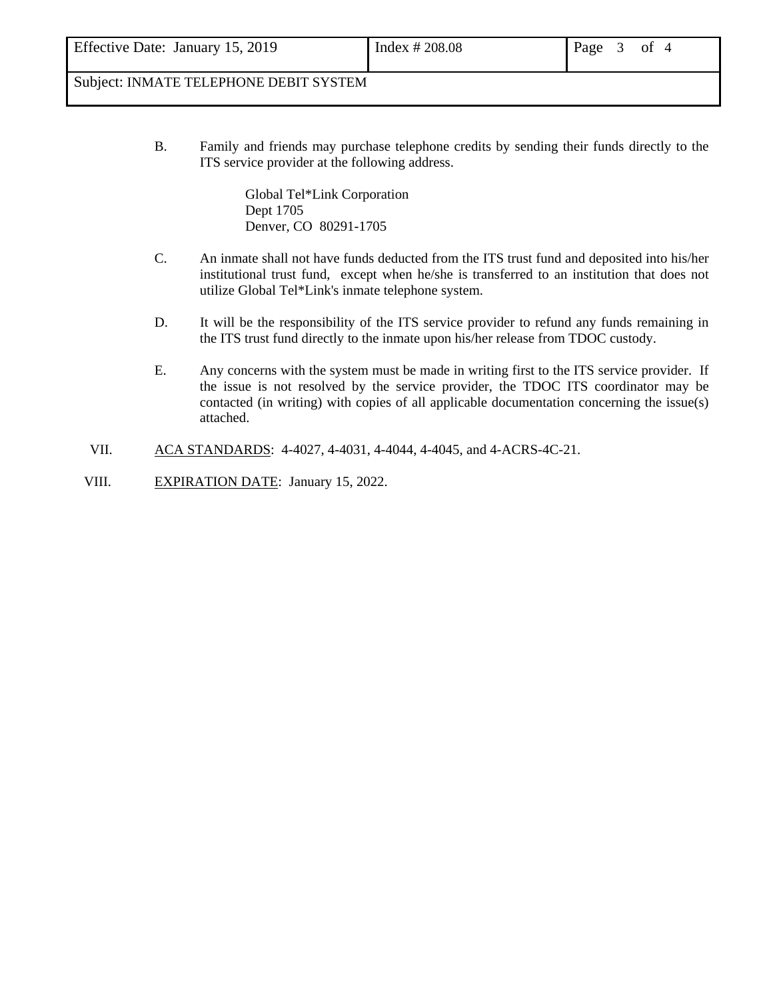Subject: INMATE TELEPHONE DEBIT SYSTEM

B. Family and friends may purchase telephone credits by sending their funds directly to the ITS service provider at the following address.

> Global Tel\*Link Corporation Dept 1705 Denver, CO 80291-1705

- C. An inmate shall not have funds deducted from the ITS trust fund and deposited into his/her institutional trust fund, except when he/she is transferred to an institution that does not utilize Global Tel\*Link's inmate telephone system.
- D. It will be the responsibility of the ITS service provider to refund any funds remaining in the ITS trust fund directly to the inmate upon his/her release from TDOC custody.
- E. Any concerns with the system must be made in writing first to the ITS service provider. If the issue is not resolved by the service provider, the TDOC ITS coordinator may be contacted (in writing) with copies of all applicable documentation concerning the issue(s) attached.
- VII. ACA STANDARDS: 4-4027, 4-4031, 4-4044, 4-4045, and 4-ACRS-4C-21.
- VIII. EXPIRATION DATE: January 15, 2022.